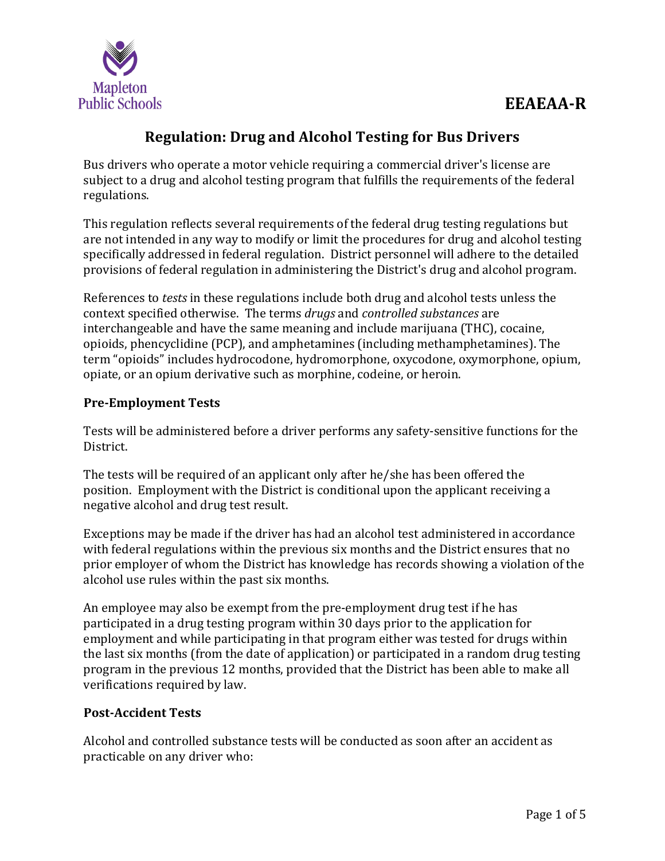

# **Regulation: Drug and Alcohol Testing for Bus Drivers**

Bus drivers who operate a motor vehicle requiring a commercial driver's license are subject to a drug and alcohol testing program that fulfills the requirements of the federal regulations.

This regulation reflects several requirements of the federal drug testing regulations but are not intended in any way to modify or limit the procedures for drug and alcohol testing specifically addressed in federal regulation. District personnel will adhere to the detailed provisions of federal regulation in administering the District's drug and alcohol program.

References to *tests* in these regulations include both drug and alcohol tests unless the context specified otherwise. The terms *drugs* and *controlled substances* are interchangeable and have the same meaning and include marijuana (THC), cocaine, opioids, phencyclidine (PCP), and amphetamines (including methamphetamines). The term "opioids" includes hydrocodone, hydromorphone, oxycodone, oxymorphone, opium, opiate, or an opium derivative such as morphine, codeine, or heroin.

## **Pre-Employment Tests**

Tests will be administered before a driver performs any safety-sensitive functions for the District.

The tests will be required of an applicant only after he/she has been offered the position. Employment with the District is conditional upon the applicant receiving a negative alcohol and drug test result.

Exceptions may be made if the driver has had an alcohol test administered in accordance with federal regulations within the previous six months and the District ensures that no prior employer of whom the District has knowledge has records showing a violation of the alcohol use rules within the past six months.

An employee may also be exempt from the pre-employment drug test if he has participated in a drug testing program within 30 days prior to the application for employment and while participating in that program either was tested for drugs within the last six months (from the date of application) or participated in a random drug testing program in the previous 12 months, provided that the District has been able to make all verifications required by law.

## **Post-Accident Tests**

Alcohol and controlled substance tests will be conducted as soon after an accident as practicable on any driver who: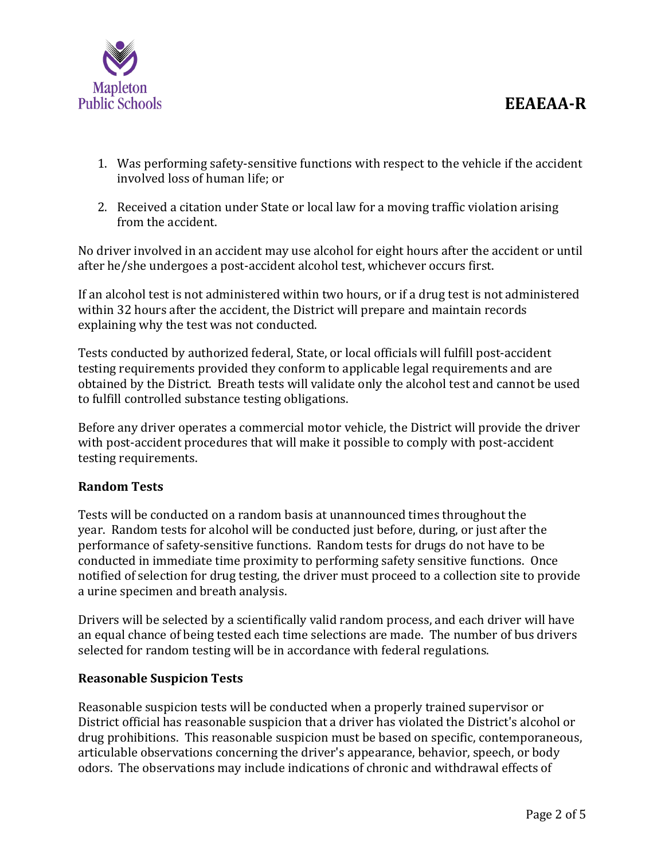

- 1. Was performing safety-sensitive functions with respect to the vehicle if the accident involved loss of human life; or
- 2. Received a citation under State or local law for a moving traffic violation arising from the accident.

No driver involved in an accident may use alcohol for eight hours after the accident or until after he/she undergoes a post-accident alcohol test, whichever occurs first.

If an alcohol test is not administered within two hours, or if a drug test is not administered within 32 hours after the accident, the District will prepare and maintain records explaining why the test was not conducted.

Tests conducted by authorized federal, State, or local officials will fulfill post-accident testing requirements provided they conform to applicable legal requirements and are obtained by the District. Breath tests will validate only the alcohol test and cannot be used to fulfill controlled substance testing obligations.

Before any driver operates a commercial motor vehicle, the District will provide the driver with post-accident procedures that will make it possible to comply with post-accident testing requirements.

## **Random Tests**

Tests will be conducted on a random basis at unannounced times throughout the year. Random tests for alcohol will be conducted just before, during, or just after the performance of safety-sensitive functions. Random tests for drugs do not have to be conducted in immediate time proximity to performing safety sensitive functions. Once notified of selection for drug testing, the driver must proceed to a collection site to provide a urine specimen and breath analysis.

Drivers will be selected by a scientifically valid random process, and each driver will have an equal chance of being tested each time selections are made. The number of bus drivers selected for random testing will be in accordance with federal regulations.

## **Reasonable Suspicion Tests**

Reasonable suspicion tests will be conducted when a properly trained supervisor or District official has reasonable suspicion that a driver has violated the District's alcohol or drug prohibitions. This reasonable suspicion must be based on specific, contemporaneous, articulable observations concerning the driver's appearance, behavior, speech, or body odors. The observations may include indications of chronic and withdrawal effects of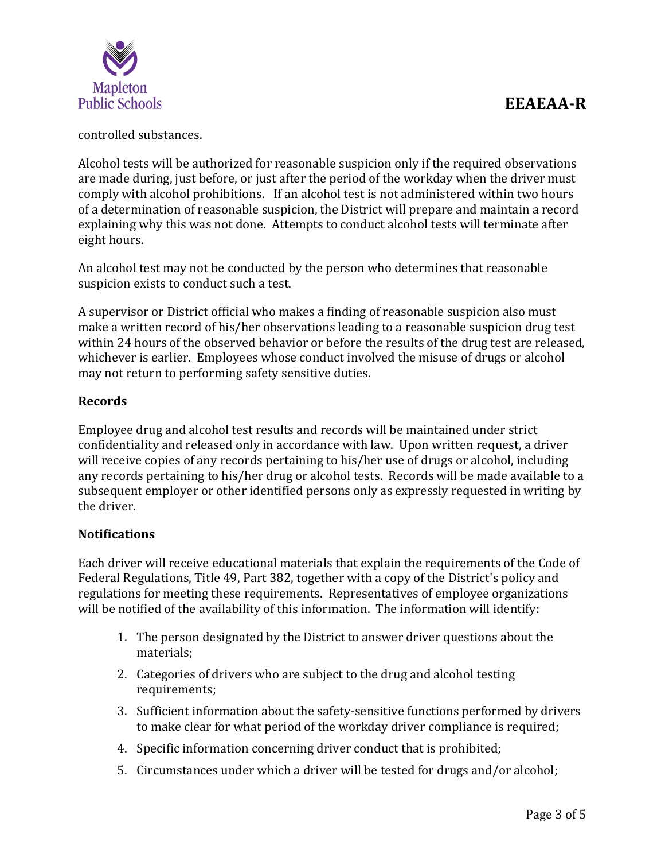

controlled substances.

Alcohol tests will be authorized for reasonable suspicion only if the required observations are made during, just before, or just after the period of the workday when the driver must comply with alcohol prohibitions. If an alcohol test is not administered within two hours of a determination of reasonable suspicion, the District will prepare and maintain a record explaining why this was not done. Attempts to conduct alcohol tests will terminate after eight hours.

An alcohol test may not be conducted by the person who determines that reasonable suspicion exists to conduct such a test.

A supervisor or District official who makes a finding of reasonable suspicion also must make a written record of his/her observations leading to a reasonable suspicion drug test within 24 hours of the observed behavior or before the results of the drug test are released, whichever is earlier. Employees whose conduct involved the misuse of drugs or alcohol may not return to performing safety sensitive duties.

## **Records**

Employee drug and alcohol test results and records will be maintained under strict confidentiality and released only in accordance with law. Upon written request, a driver will receive copies of any records pertaining to his/her use of drugs or alcohol, including any records pertaining to his/her drug or alcohol tests. Records will be made available to a subsequent employer or other identified persons only as expressly requested in writing by the driver.

## **Notifications**

Each driver will receive educational materials that explain the requirements of the Code of Federal Regulations, Title 49, Part 382, together with a copy of the District's policy and regulations for meeting these requirements. Representatives of employee organizations will be notified of the availability of this information. The information will identify:

- 1. The person designated by the District to answer driver questions about the materials;
- 2. Categories of drivers who are subject to the drug and alcohol testing requirements;
- 3. Sufficient information about the safety-sensitive functions performed by drivers to make clear for what period of the workday driver compliance is required;
- 4. Specific information concerning driver conduct that is prohibited;
- 5. Circumstances under which a driver will be tested for drugs and/or alcohol;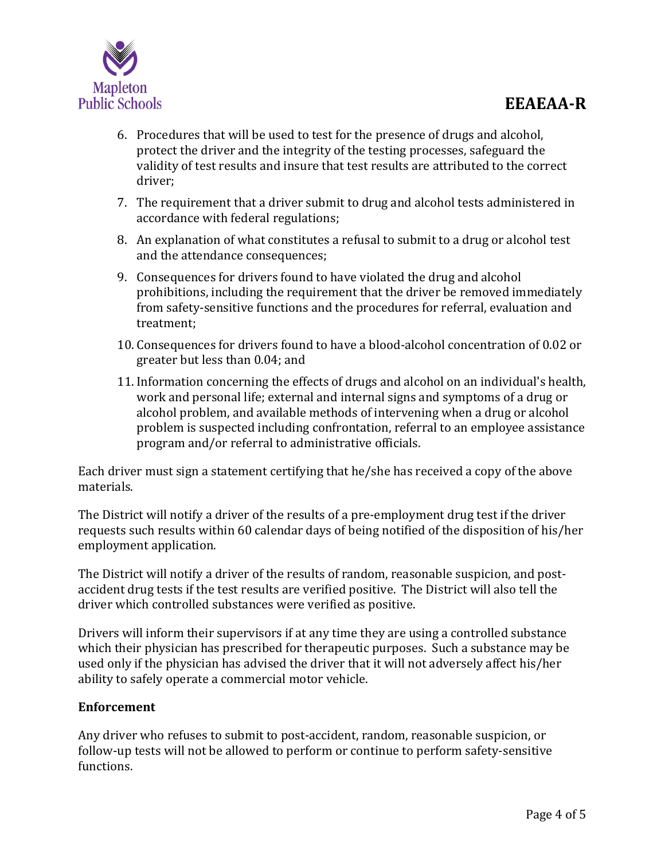

- 6. Procedures that will be used to test for the presence of drugs and alcohol, protect the driver and the integrity of the testing processes, safeguard the validity of test results and insure that test results are attributed to the correct driver;
- 7. The requirement that a driver submit to drug and alcohol tests administered in accordance with federal regulations;
- 8. An explanation of what constitutes a refusal to submit to a drug or alcohol test and the attendance consequences;
- 9. Consequences for drivers found to have violated the drug and alcohol prohibitions, including the requirement that the driver be removed immediately from safety-sensitive functions and the procedures for referral, evaluation and treatment;
- 10. Consequences for drivers found to have a blood-alcohol concentration of 0.02 or greater but less than 0.04; and
- 11. Information concerning the effects of drugs and alcohol on an individual's health, work and personal life; external and internal signs and symptoms of a drug or alcohol problem, and available methods of intervening when a drug or alcohol problem is suspected including confrontation, referral to an employee assistance program and/or referral to administrative officials.

Each driver must sign a statement certifying that he/she has received a copy of the above materials.

The District will notify a driver of the results of a pre-employment drug test if the driver requests such results within 60 calendar days of being notified of the disposition of his/her employment application.

The District will notify a driver of the results of random, reasonable suspicion, and postaccident drug tests if the test results are verified positive. The District will also tell the driver which controlled substances were verified as positive.

Drivers will inform their supervisors if at any time they are using a controlled substance which their physician has prescribed for therapeutic purposes. Such a substance may be used only if the physician has advised the driver that it will not adversely affect his/her ability to safely operate a commercial motor vehicle.

## **Enforcement**

Any driver who refuses to submit to post-accident, random, reasonable suspicion, or follow-up tests will not be allowed to perform or continue to perform safety-sensitive functions.